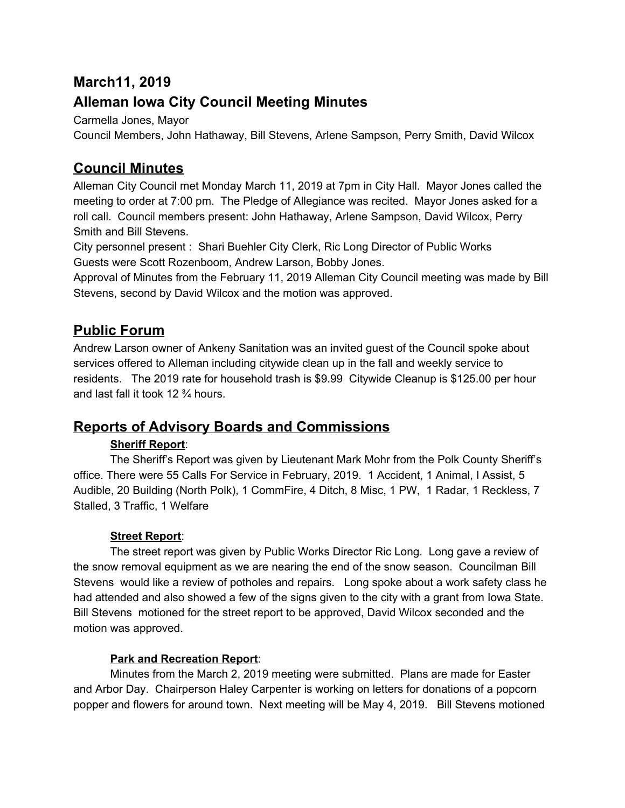## **March11, 2019**

# **Alleman Iowa City Council Meeting Minutes**

Carmella Jones, Mayor

Council Members, John Hathaway, Bill Stevens, Arlene Sampson, Perry Smith, David Wilcox

## **Council Minutes**

Alleman City Council met Monday March 11, 2019 at 7pm in City Hall. Mayor Jones called the meeting to order at 7:00 pm. The Pledge of Allegiance was recited. Mayor Jones asked for a roll call. Council members present: John Hathaway, Arlene Sampson, David Wilcox, Perry Smith and Bill Stevens.

City personnel present : Shari Buehler City Clerk, Ric Long Director of Public Works Guests were Scott Rozenboom, Andrew Larson, Bobby Jones.

Approval of Minutes from the February 11, 2019 Alleman City Council meeting was made by Bill Stevens, second by David Wilcox and the motion was approved.

# **Public Forum**

Andrew Larson owner of Ankeny Sanitation was an invited guest of the Council spoke about services offered to Alleman including citywide clean up in the fall and weekly service to residents. The 2019 rate for household trash is \$9.99 Citywide Cleanup is \$125.00 per hour and last fall it took 12 ¾ hours.

## **Reports of Advisory Boards and Commissions**

### **Sheriff Report**:

The Sheriff's Report was given by Lieutenant Mark Mohr from the Polk County Sheriff's office. There were 55 Calls For Service in February, 2019. 1 Accident, 1 Animal, I Assist, 5 Audible, 20 Building (North Polk), 1 CommFire, 4 Ditch, 8 Misc, 1 PW, 1 Radar, 1 Reckless, 7 Stalled, 3 Traffic, 1 Welfare

### **Street Report**:

The street report was given by Public Works Director Ric Long. Long gave a review of the snow removal equipment as we are nearing the end of the snow season. Councilman Bill Stevens would like a review of potholes and repairs. Long spoke about a work safety class he had attended and also showed a few of the signs given to the city with a grant from Iowa State. Bill Stevens motioned for the street report to be approved, David Wilcox seconded and the motion was approved.

### **Park and Recreation Report**:

Minutes from the March 2, 2019 meeting were submitted. Plans are made for Easter and Arbor Day. Chairperson Haley Carpenter is working on letters for donations of a popcorn popper and flowers for around town. Next meeting will be May 4, 2019. Bill Stevens motioned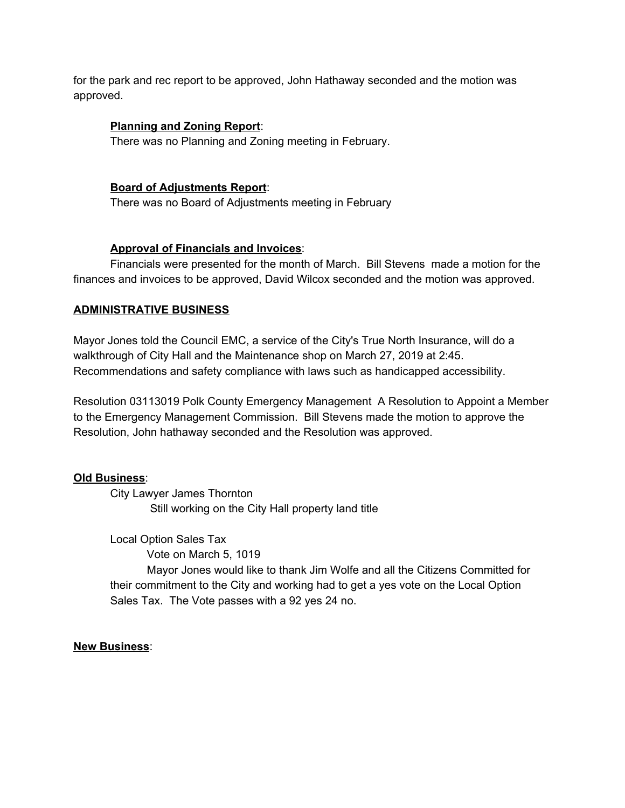for the park and rec report to be approved, John Hathaway seconded and the motion was approved.

#### **Planning and Zoning Report**:

There was no Planning and Zoning meeting in February.

#### **Board of Adjustments Report**:

There was no Board of Adjustments meeting in February

#### **Approval of Financials and Invoices**:

Financials were presented for the month of March. Bill Stevens made a motion for the finances and invoices to be approved, David Wilcox seconded and the motion was approved.

#### **ADMINISTRATIVE BUSINESS**

Mayor Jones told the Council EMC, a service of the City's True North Insurance, will do a walkthrough of City Hall and the Maintenance shop on March 27, 2019 at 2:45. Recommendations and safety compliance with laws such as handicapped accessibility.

Resolution 03113019 Polk County Emergency Management A Resolution to Appoint a Member to the Emergency Management Commission. Bill Stevens made the motion to approve the Resolution, John hathaway seconded and the Resolution was approved.

#### **Old Business**:

City Lawyer James Thornton Still working on the City Hall property land title

Local Option Sales Tax

Vote on March 5, 1019 Mayor Jones would like to thank Jim Wolfe and all the Citizens Committed for their commitment to the City and working had to get a yes vote on the Local Option Sales Tax. The Vote passes with a 92 yes 24 no.

#### **New Business**: